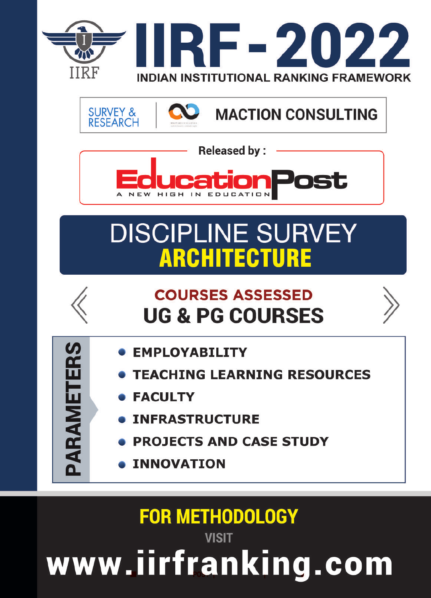

**SURVEY & MACTION CONSULTING RESEARCH** 



# **DISCIPLINE SURVEY ARCHITECTURE**



PARAMETERS

## **COURSES ASSESSED UG & PG COURSES**

- **EMPLOYABILITY**
- **TEACHING LEARNING RESOURCES**
- **FACULTY**
- **INFRASTRUCTURE**
- **PROJECTS AND CASE STUDY**
- **INNOVATION**

# **FOR METHODOLOGY VISIT**

www.iirfranking.com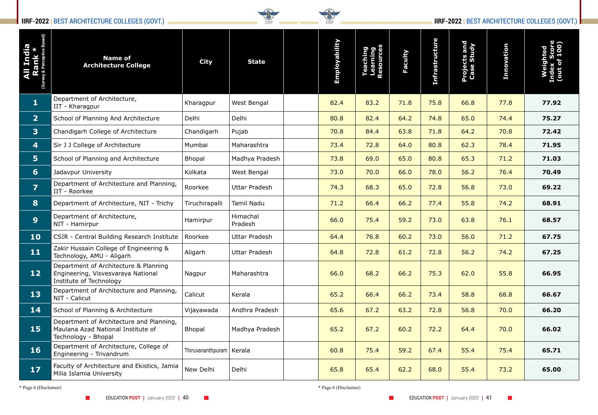### **IIRF-2022** | BEST ARCHITECTURE COLLEGES (GOVT.) **IIRF-2022** | BEST ARCHITECTURE COLLEGES (GOVT.)



| <b>Endia</b><br>$\overline{5}$ | <b>Name of</b><br><b>Architecture College</b>                                                          | <b>City</b>                | <b>State</b>         | Employability | ත ඨ<br>F | Faculty | <b>Infrastructure</b> | <b>Projects and<br/>Case Study</b> | Innovation | Index S<br>(out of<br>$\boldsymbol{\Theta}$ |
|--------------------------------|--------------------------------------------------------------------------------------------------------|----------------------------|----------------------|---------------|----------|---------|-----------------------|------------------------------------|------------|---------------------------------------------|
| $\mathbf{1}$                   | Department of Architecture,<br>IIT - Kharagpur                                                         | Kharagpur                  | West Bengal          | 82.4          | 83.2     | 71.8    | 75.8                  | 66.8                               | 77.8       | 77.92                                       |
| 2 <sup>1</sup>                 | School of Planning And Architecture                                                                    | Delhi                      | Delhi                | 80.8          | 82.4     | 64.2    | 74.8                  | 65.0                               | 74.4       | 75.27                                       |
| 3                              | Chandigarh College of Architecture                                                                     | Chandigarh                 | Pujab                | 70.8          | 84.4     | 63.8    | 71.8                  | 64.2                               | 70.8       | 72.42                                       |
| 4                              | Sir J J College of Architecture                                                                        | Mumbai                     | Maharashtra          | 73.4          | 72.8     | 64.0    | 80.8                  | 62.3                               | 78.4       | 71.95                                       |
| 5 <sub>1</sub>                 | School of Planning and Architecture                                                                    | <b>Bhopal</b>              | Madhya Pradesh       | 73.8          | 69.0     | 65.0    | 80.8                  | 65.3                               | 71.2       | 71.03                                       |
| 6                              | Jadavpur University                                                                                    | Kolkata                    | West Bengal          | 73.0          | 70.0     | 66.0    | 78.0                  | 56.2                               | 76.4       | 70.49                                       |
| $\overline{\mathbf{z}}$        | Department of Architecture and Planning,<br>IIT - Roorkee                                              | Roorkee                    | <b>Uttar Pradesh</b> | 74.3          | 68.3     | 65.0    | 72.8                  | 56.8                               | 73.0       | 69.22                                       |
| 8                              | Department of Architecture, NIT - Trichy                                                               | Tiruchirapalli             | Tamil Nadu           | 71.2          | 66.4     | 66.2    | 77.4                  | 55.8                               | 74.2       | 68.91                                       |
| 9                              | Department of Architecture,<br>NIT - Hamirpur                                                          | Hamirpur                   | Himachal<br>Pradesh  | 66.0          | 75.4     | 59.2    | 73.0                  | 63.8                               | 76.1       | 68.57                                       |
| 10                             | CSIR - Central Building Research Institute                                                             | Roorkee                    | <b>Uttar Pradesh</b> | 64.4          | 76.8     | 60.2    | 73.0                  | 56.0                               | 71.2       | 67.75                                       |
| 11                             | Zakir Hussain College of Engineering &<br>Technology, AMU - Aligarh                                    | Aligarh                    | <b>Uttar Pradesh</b> | 64.8          | 72.8     | 61.2    | 72.8                  | 56.2                               | 74.2       | 67.25                                       |
| 12                             | Department of Architecture & Planning<br>Engineering, Visvesvaraya National<br>Institute of Technology | Nagpur                     | Maharashtra          | 66.0          | 68.2     | 66.2    | 75.3                  | 62.0                               | 55.8       | 66.95                                       |
| 13                             | Department of Architecture and Planning,<br>NIT - Calicut                                              | Calicut                    | Kerala               | 65.2          | 66.4     | 66.2    | 73.4                  | 58.8                               | 68.8       | 66.67                                       |
| 14                             | School of Planning & Architecture                                                                      | Vijayawada                 | Andhra Pradesh       | 65.6          | 67.2     | 63.2    | 72.8                  | 56.8                               | 70.0       | 66.20                                       |
| 15                             | Department of Architecture and Planning,<br>Maulana Azad National Institute of<br>Technology - Bhopal  | Bhopal                     | Madhya Pradesh       | 65.2          | 67.2     | 60.2    | 72.2                  | 64.4                               | 70.0       | 66.02                                       |
| 16                             | Department of Architecture, College of<br>Engineering - Trivandrum                                     | Thiruvananthpuram   Kerala |                      | 60.8          | 75.4     | 59.2    | 67.4                  | 55.4                               | 75.4       | 65.71                                       |
| 17                             | Faculty of Architecture and Ekistics, Jamia<br>Milia Islamia University                                | New Delhi                  | Delhi                | 65.8          | 65.4     | 62.2    | 68.0                  | 55.4                               | 73.2       | 65.00                                       |

\* Page 6 (Disclaimer) \* Page 6 (Disclaimer)

 $\mathcal{L}^{\text{max}}$ 

 $\mathcal{L}_{\mathcal{A}}$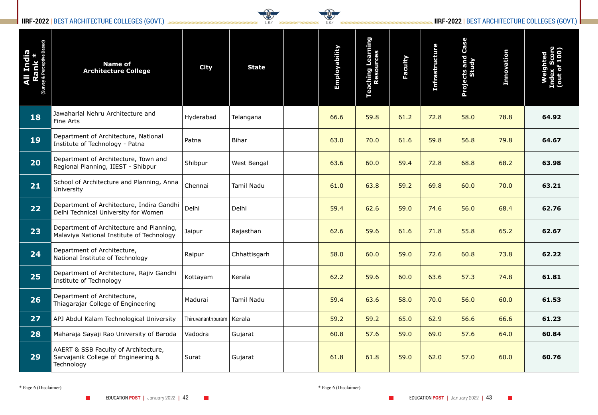### **IIRF-2022** | BEST ARCHITECTURE COLLEGES (GOVT.) **IIRF-2022** | BEST ARCHITECTURE COLLEGES (GOVT.)



| <b>All India<br/>Rank *</b><br><sub>(Survey &amp; Perceptive Based)</sub> | <b>Name of</b><br><b>Architecture College</b>                                             | <b>City</b>                | <b>State</b>      | Employability | <b>Teaching Learning</b><br>Resources | Faculty | <b>Infrastructure</b> | Case<br>Projects and<br>Study | <b>Innovation</b> | laj<br>Je |
|---------------------------------------------------------------------------|-------------------------------------------------------------------------------------------|----------------------------|-------------------|---------------|---------------------------------------|---------|-----------------------|-------------------------------|-------------------|-----------|
| 18                                                                        | Jawaharlal Nehru Architecture and<br>Fine Arts                                            | Hyderabad                  | Telangana         | 66.6          | 59.8                                  | 61.2    | 72.8                  | 58.0                          | 78.8              | 64.92     |
| 19                                                                        | Department of Architecture, National<br>Institute of Technology - Patna                   | Patna                      | <b>Bihar</b>      | 63.0          | 70.0                                  | 61.6    | 59.8                  | 56.8                          | 79.8              | 64.67     |
| 20                                                                        | Department of Architecture, Town and<br>Regional Planning, IIEST - Shibpur                | Shibpur                    | West Bengal       | 63.6          | 60.0                                  | 59.4    | 72.8                  | 68.8                          | 68.2              | 63.98     |
| 21                                                                        | School of Architecture and Planning, Anna<br>University                                   | Chennai                    | <b>Tamil Nadu</b> | 61.0          | 63.8                                  | 59.2    | 69.8                  | 60.0                          | 70.0              | 63.21     |
| 22                                                                        | Department of Architecture, Indira Gandhi<br>Delhi Technical University for Women         | Delhi                      | Delhi             | 59.4          | 62.6                                  | 59.0    | 74.6                  | 56.0                          | 68.4              | 62.76     |
| 23                                                                        | Department of Architecture and Planning,<br>Malaviya National Institute of Technology     | Jaipur                     | Rajasthan         | 62.6          | 59.6                                  | 61.6    | 71.8                  | 55.8                          | 65.2              | 62.67     |
| 24                                                                        | Department of Architecture,<br>National Institute of Technology                           | Raipur                     | Chhattisgarh      | 58.0          | 60.0                                  | 59.0    | 72.6                  | 60.8                          | 73.8              | 62.22     |
| 25                                                                        | Department of Architecture, Rajiv Gandhi<br>Institute of Technology                       | Kottayam                   | Kerala            | 62.2          | 59.6                                  | 60.0    | 63.6                  | 57.3                          | 74.8              | 61.81     |
| 26                                                                        | Department of Architecture,<br>Thiagarajar College of Engineering                         | Madurai                    | Tamil Nadu        | 59.4          | 63.6                                  | 58.0    | 70.0                  | 56.0                          | 60.0              | 61.53     |
| 27                                                                        | APJ Abdul Kalam Technological University                                                  | Thiruvananthpuram   Kerala |                   | 59.2          | 59.2                                  | 65.0    | 62.9                  | 56.6                          | 66.6              | 61.23     |
| 28                                                                        | Maharaja Sayaji Rao University of Baroda                                                  | Vadodra                    | Gujarat           | 60.8          | 57.6                                  | 59.0    | 69.0                  | 57.6                          | 64.0              | 60.84     |
| 29                                                                        | AAERT & SSB Faculty of Architecture,<br>Sarvajanik College of Engineering &<br>Technology | Surat                      | Gujarat           | 61.8          | 61.8                                  | 59.0    | 62.0                  | 57.0                          | 60.0              | 60.76     |

\* Page 6 (Disclaimer) \* Page 6 (Disclaimer)

 $\mathcal{L}^{\text{max}}$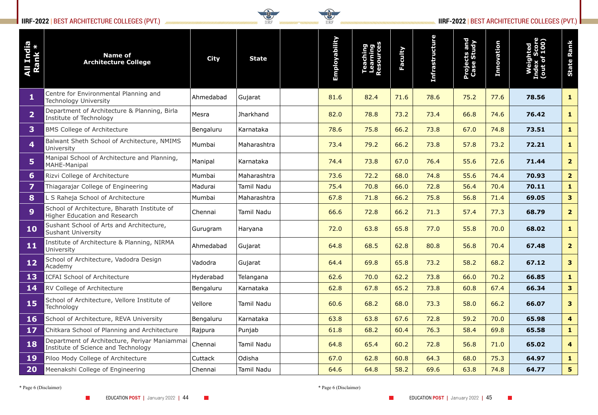### **IIRF-2022** | BEST ARCHITECTURE COLLEGES (PVT.) **IIRF-2022** | BEST ARCHITECTURE COLLEGES (PVT.)



| India<br>India<br>All Ind<br>Rank | <b>Name of</b><br><b>Architecture College</b>                                        | <b>City</b> | <b>State</b> | Employability | Teaching<br>Learning<br>\esources | Faculty | <b>Infrastructure</b> | <b>Projects and<br/>Case Study</b> | Innovation | Weighted<br>Index Score<br>(out of 100) | Rank<br>State           |
|-----------------------------------|--------------------------------------------------------------------------------------|-------------|--------------|---------------|-----------------------------------|---------|-----------------------|------------------------------------|------------|-----------------------------------------|-------------------------|
| $\mathbf{1}$                      | Centre for Environmental Planning and<br><b>Technology University</b>                | Ahmedabad   | Gujarat      | 81.6          | 82.4                              | 71.6    | 78.6                  | 75.2                               | 77.6       | 78.56                                   | $\mathbf{1}$            |
| $\overline{2}$                    | Department of Architecture & Planning, Birla<br>Institute of Technology              | Mesra       | Jharkhand    | 82.0          | 78.8                              | 73.2    | 73.4                  | 66.8                               | 74.6       | 76.42                                   | $\mathbf{1}$            |
| $\overline{\mathbf{3}}$           | <b>BMS College of Architecture</b>                                                   | Bengaluru   | Karnataka    | 78.6          | 75.8                              | 66.2    | 73.8                  | 67.0                               | 74.8       | 73.51                                   | $\mathbf{1}$            |
| $\overline{\mathbf{4}}$           | Balwant Sheth School of Architecture, NMIMS<br>University                            | Mumbai      | Maharashtra  | 73.4          | 79.2                              | 66.2    | 73.8                  | 57.8                               | 73.2       | 72.21                                   | $\mathbf{1}$            |
| 5 <sup>1</sup>                    | Manipal School of Architecture and Planning,<br><b>MAHE-Manipal</b>                  | Manipal     | Karnataka    | 74.4          | 73.8                              | 67.0    | 76.4                  | 55.6                               | 72.6       | 71.44                                   | 2 <sup>1</sup>          |
| $6 \overline{6}$                  | Rizvi College of Architecture                                                        | Mumbai      | Maharashtra  | 73.6          | 72.2                              | 68.0    | 74.8                  | 55.6                               | 74.4       | 70.93                                   | 2 <sub>1</sub>          |
| 7                                 | Thiagarajar College of Engineering                                                   | Madurai     | Tamil Nadu   | 75.4          | 70.8                              | 66.0    | 72.8                  | 56.4                               | 70.4       | 70.11                                   | $\mathbf{1}$            |
| 8                                 | . S Raheja School of Architecture                                                    | Mumbai      | Maharashtra  | 67.8          | 71.8                              | 66.2    | 75.8                  | 56.8                               | 71.4       | 69.05                                   | 3 <sup>1</sup>          |
| 9                                 | School of Architecture, Bharath Institute of<br>Higher Education and Research        | Chennai     | Tamil Nadu   | 66.6          | 72.8                              | 66.2    | 71.3                  | 57.4                               | 77.3       | 68.79                                   | 2 <sup>1</sup>          |
| 10                                | Sushant School of Arts and Architecture,<br><b>Sushant University</b>                | Gurugram    | Haryana      | 72.0          | 63.8                              | 65.8    | 77.0                  | 55.8                               | 70.0       | 68.02                                   | $\mathbf{1}$            |
| 11                                | Institute of Architecture & Planning, NIRMA<br>University                            | Ahmedabad   | Gujarat      | 64.8          | 68.5                              | 62.8    | 80.8                  | 56.8                               | 70.4       | 67.48                                   | 2 <sup>1</sup>          |
| $12$                              | School of Architecture, Vadodra Design<br>Academy                                    | Vadodra     | Gujarat      | 64.4          | 69.8                              | 65.8    | 73.2                  | 58.2                               | 68.2       | 67.12                                   | 3 <sup>1</sup>          |
| 13                                | <b>ICFAI School of Architecture</b>                                                  | Hyderabad   | Telangana    | 62.6          | 70.0                              | 62.2    | 73.8                  | 66.0                               | 70.2       | 66.85                                   | $\mathbf{1}$            |
| 14                                | <b>RV College of Architecture</b>                                                    | Bengaluru   | Karnataka    | 62.8          | 67.8                              | 65.2    | 73.8                  | 60.8                               | 67.4       | 66.34                                   | 3 <sup>1</sup>          |
| 15                                | School of Architecture, Vellore Institute of<br>Technology                           | Vellore     | Tamil Nadu   | 60.6          | 68.2                              | 68.0    | 73.3                  | 58.0                               | 66.2       | 66.07                                   | 3 <sup>1</sup>          |
| <b>16</b>                         | School of Architecture, REVA University                                              | Bengaluru   | Karnataka    | 63.8          | 63.8                              | 67.6    | 72.8                  | 59.2                               | 70.0       | 65.98                                   | $\overline{\mathbf{4}}$ |
| 17                                | Chitkara School of Planning and Architecture                                         | Rajpura     | Punjab       | 61.8          | 68.2                              | 60.4    | 76.3                  | 58.4                               | 69.8       | 65.58                                   | $\mathbf{1}$            |
| 18                                | Department of Architecture, Periyar Maniammai<br>Institute of Science and Technology | Chennai     | Tamil Nadu   | 64.8          | 65.4                              | 60.2    | 72.8                  | 56.8                               | 71.0       | 65.02                                   | $\overline{4}$          |
| 19                                | Piloo Mody College of Architecture                                                   | Cuttack     | Odisha       | 67.0          | 62.8                              | 60.8    | 64.3                  | 68.0                               | 75.3       | 64.97                                   | $\mathbf{1}$            |
| <b>20</b>                         | Meenakshi College of Engineering                                                     | Chennai     | Tamil Nadu   | 64.6          | 64.8                              | 58.2    | 69.6                  | 63.8                               | 74.8       | 64.77                                   | 5 <sub>1</sub>          |

\* Page 6 (Disclaimer) \* Page 6 (Disclaimer)